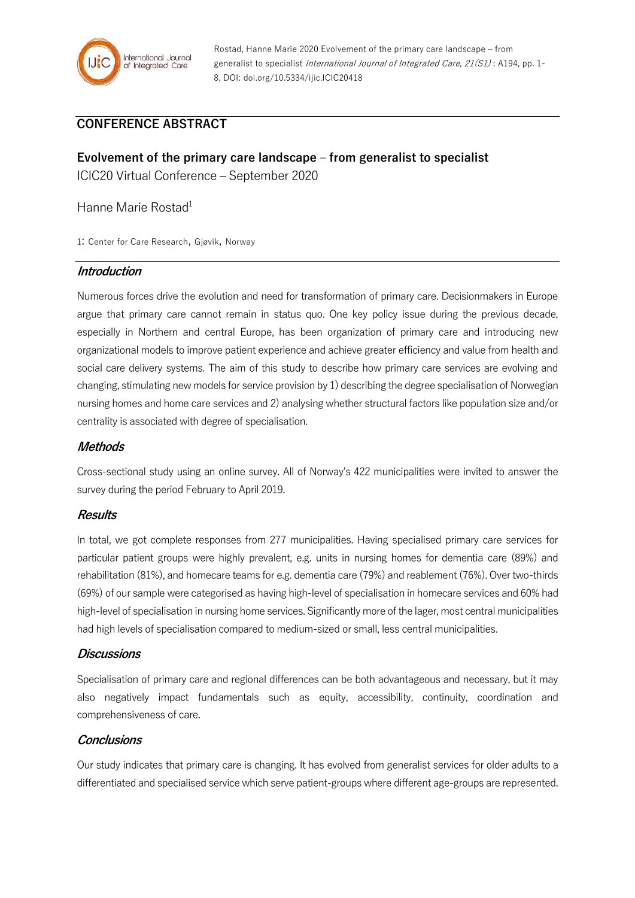

# **CONFERENCE ABSTRACT**

**Evolvement of the primary care landscape – from generalist to specialist** ICIC20 Virtual Conference – September 2020

Hanne Marie Rostad<sup>1</sup>

1: Center for Care Research, Gjøvik, Norway

### **Introduction**

Numerous forces drive the evolution and need for transformation of primary care. Decisionmakers in Europe argue that primary care cannot remain in status quo. One key policy issue during the previous decade, especially in Northern and central Europe, has been organization of primary care and introducing new organizational models to improve patient experience and achieve greater efficiency and value from health and social care delivery systems. The aim of this study to describe how primary care services are evolving and changing, stimulating new models for service provision by 1) describing the degree specialisation of Norwegian nursing homes and home care services and 2) analysing whether structural factors like population size and/or centrality is associated with degree of specialisation.

### **Methods**

Cross-sectional study using an online survey. All of Norway's 422 municipalities were invited to answer the survey during the period February to April 2019.

### **Results**

In total, we got complete responses from 277 municipalities. Having specialised primary care services for particular patient groups were highly prevalent, e.g. units in nursing homes for dementia care (89%) and rehabilitation (81%), and homecare teams for e.g. dementia care (79%) and reablement (76%). Over two-thirds (69%) of our sample were categorised as having high-level of specialisation in homecare services and 60% had high-level of specialisation in nursing home services. Significantly more of the lager, most central municipalities had high levels of specialisation compared to medium-sized or small, less central municipalities.

### **Discussions**

Specialisation of primary care and regional differences can be both advantageous and necessary, but it may also negatively impact fundamentals such as equity, accessibility, continuity, coordination and comprehensiveness of care.

### **Conclusions**

Our study indicates that primary care is changing. It has evolved from generalist services for older adults to a differentiated and specialised service which serve patient-groups where different age-groups are represented.